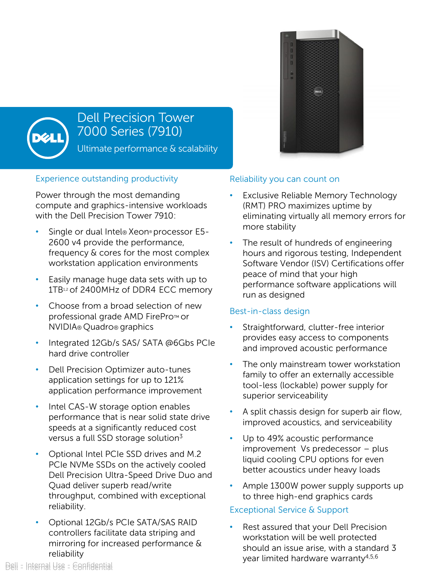

# Dell Precision Tower 7000 Series (7910)

Ultimate performance & scalability

# Experience outstanding productivity

Power through the most demanding compute and graphics-intensive workloads with the Dell Precision Tower 7910:

- Single or dual Intel® Xeon® processor E5- 2600 v4 provide the performance, frequency & cores for the most complex workstation application environments
- Easily manage huge data sets with up to 1TB12 of 2400MHz of DDR4 ECC memory
- Choose from a broad selection of new professional grade AMD FirePro™ or NVIDIA® Quadro® graphics
- Integrated 12Gb/s SAS/ SATA @6Gbs PCIe hard drive controller
- Dell Precision Optimizer auto-tunes application settings for up to 121% application performance improvement
- Intel CAS-W storage option enables performance that is near solid state drive speeds at a significantly reduced cost versus a full SSD storage solution<sup>3</sup>
- Optional Intel PCIe SSD drives and M.2 PCIe NVMe SSDs on the actively cooled Dell Precision Ultra-Speed Drive Duo and Quad deliver superb read/write throughput, combined with exceptional reliability.
- Optional 12Gb/s PCIe SATA/SAS RAID controllers facilitate data striping and mirroring for increased performance & reliability



### Reliability you can count on

- **Exclusive Reliable Memory Technology** (RMT) PRO maximizes uptime by eliminating virtually all memory errors for more stability
- The result of hundreds of engineering hours and rigorous testing, Independent Software Vendor (ISV) Certifications offer peace of mind that your high performance software applications will run as designed

#### Best-in-class design

- Straightforward, clutter-free interior provides easy access to components and improved acoustic performance
- The only mainstream tower workstation family to offer an externally accessible tool-less (lockable) power supply for superior serviceability
- A split chassis design for superb air flow, improved acoustics, and serviceability
- Up to 49% acoustic performance improvement Vs predecessor – plus liquid cooling CPU options for even better acoustics under heavy loads
- Ample 1300W power supply supports up to three high-end graphics cards

# Exceptional Service & Support

• Rest assured that your Dell Precision workstation will be well protected should an issue arise, with a standard 3 year limited hardware warranty4,5,6